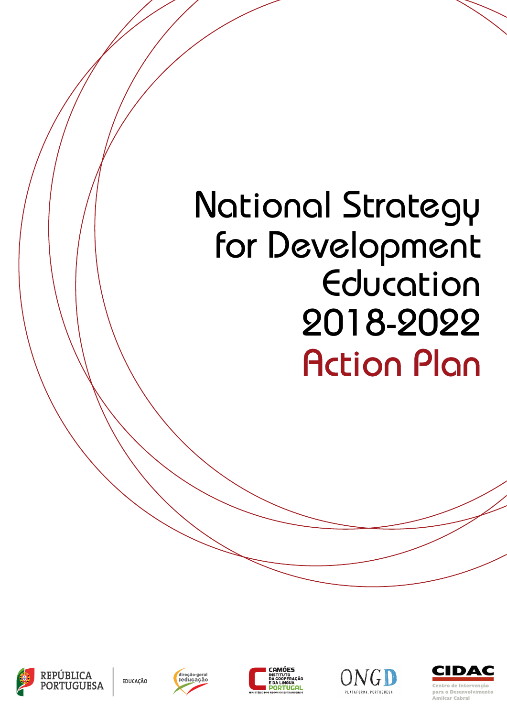## National Strategy for Development Education 2018-2022 Action Plan



EDUCAÇÃO







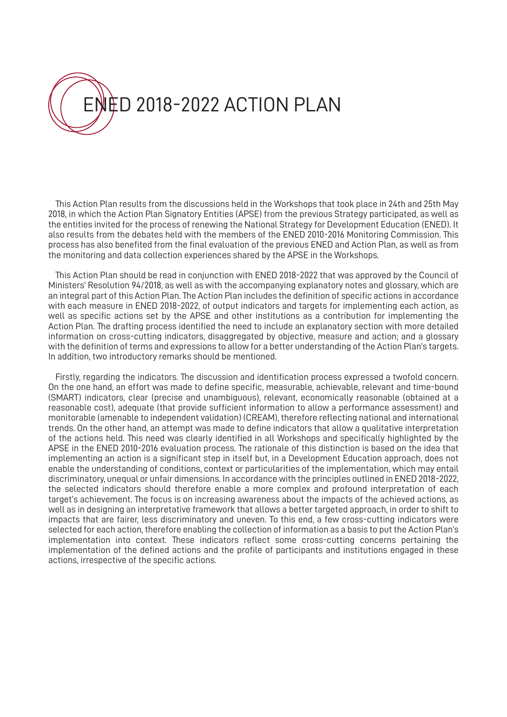

This Action Plan results from the discussions held in the Workshops that took place in 24th and 25th May 2018, in which the Action Plan Signatory Entities (APSE) from the previous Strategy participated, as well as the entities invited for the process of renewing the National Strategy for Development Education (ENED). It also results from the debates held with the members of the ENED 2010-2016 Monitoring Commission. This process has also benefited from the final evaluation of the previous ENED and Action Plan, as well as from the monitoring and data collection experiences shared by the APSE in the Workshops.

This Action Plan should be read in conjunction with ENED 2018-2022 that was approved by the Council of Ministers' Resolution 94/2018, as well as with the accompanying explanatory notes and glossary, which are an integral part of this Action Plan. The Action Plan includes the definition of specific actions in accordance with each measure in ENED 2018-2022, of output indicators and targets for implementing each action, as well as specific actions set by the APSE and other institutions as a contribution for implementing the Action Plan. The drafting process identified the need to include an explanatory section with more detailed information on cross-cutting indicators, disaggregated by objective, measure and action; and a glossary with the definition of terms and expressions to allow for a better understanding of the Action Plan's targets. In addition, two introductory remarks should be mentioned.

Firstly, regarding the indicators. The discussion and identification process expressed a twofold concern. On the one hand, an effort was made to define specific, measurable, achievable, relevant and time-bound (SMART) indicators, clear (precise and unambiguous), relevant, economically reasonable (obtained at a reasonable cost), adequate (that provide sufficient information to allow a performance assessment) and monitorable (amenable to independent validation) (CREAM), therefore reflecting national and international trends. On the other hand, an attempt was made to define indicators that allow a qualitative interpretation of the actions held. This need was clearly identified in all Workshops and specifically highlighted by the APSE in the ENED 2010-2016 evaluation process. The rationale of this distinction is based on the idea that implementing an action is a significant step in itself but, in a Development Education approach, does not enable the understanding of conditions, context or particularities of the implementation, which may entail discriminatory, unequal or unfair dimensions. In accordance with the principles outlined in ENED 2018-2022, the selected indicators should therefore enable a more complex and profound interpretation of each target's achievement. The focus is on increasing awareness about the impacts of the achieved actions, as well as in designing an interpretative framework that allows a better targeted approach, in order to shift to impacts that are fairer, less discriminatory and uneven. To this end, a few cross-cutting indicators were selected for each action, therefore enabling the collection of information as a basis to put the Action Plan's implementation into context. These indicators reflect some cross-cutting concerns pertaining the implementation of the defined actions and the profile of participants and institutions engaged in these actions, irrespective of the specific actions.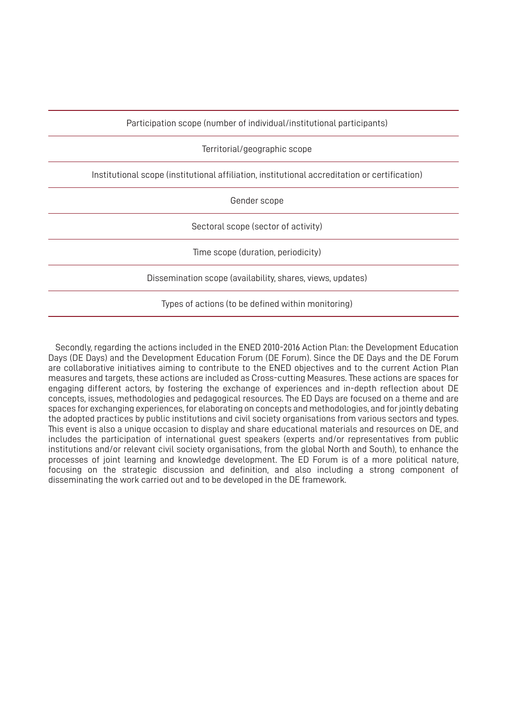Participation scope (number of individual/institutional participants)

Territorial/geographic scope

Institutional scope (institutional affiliation, institutional accreditation or certification)

Gender scope

Sectoral scope (sector of activity)

Time scope (duration, periodicity)

Dissemination scope (availability, shares, views, updates)

Types of actions (to be defined within monitoring)

Secondly, regarding the actions included in the ENED 2010-2016 Action Plan: the Development Education Days (DE Days) and the Development Education Forum (DE Forum). Since the DE Days and the DE Forum are collaborative initiatives aiming to contribute to the ENED objectives and to the current Action Plan measures and targets, these actions are included as Cross-cutting Measures. These actions are spaces for engaging different actors, by fostering the exchange of experiences and in-depth reflection about DE concepts, issues, methodologies and pedagogical resources. The ED Days are focused on a theme and are spaces for exchanging experiences, for elaborating on concepts and methodologies, and for jointly debating the adopted practices by public institutions and civil society organisations from various sectors and types. This event is also a unique occasion to display and share educational materials and resources on DE, and includes the participation of international guest speakers (experts and/or representatives from public institutions and/or relevant civil society organisations, from the global North and South), to enhance the processes of joint learning and knowledge development. The ED Forum is of a more political nature, focusing on the strategic discussion and definition, and also including a strong component of disseminating the work carried out and to be developed in the DE framework.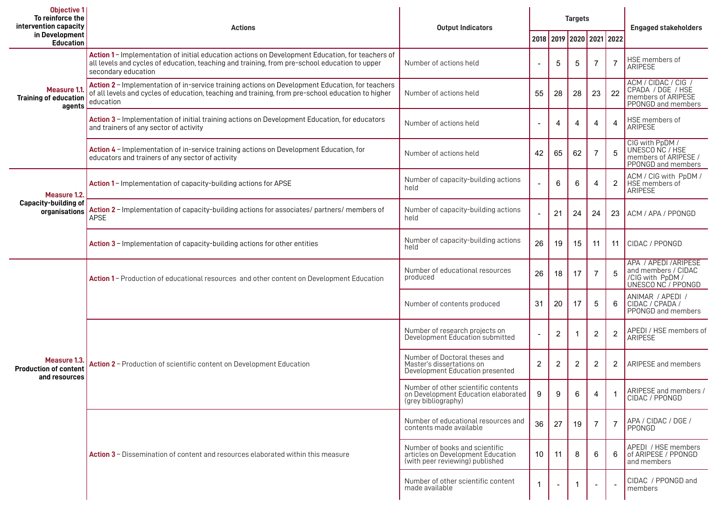| <b>Objective 1</b><br>To reinforce the<br>intervention capacity | <b>Actions</b>                                                                                                                                                                                                           | <b>Output Indicators</b>                                                                               | <b>Targets</b>           |    |             |                |                     | <b>Engaged stakeholders</b>                                                                   |
|-----------------------------------------------------------------|--------------------------------------------------------------------------------------------------------------------------------------------------------------------------------------------------------------------------|--------------------------------------------------------------------------------------------------------|--------------------------|----|-------------|----------------|---------------------|-----------------------------------------------------------------------------------------------|
| in Development<br><b>Education</b>                              |                                                                                                                                                                                                                          |                                                                                                        | 2018                     |    |             |                | 2019 2020 2021 2022 |                                                                                               |
| Measure 1.1<br><b>Training of education</b><br>agents           | Action 1 - Implementation of initial education actions on Development Education, for teachers of<br>all levels and cycles of education, teaching and training, from pre-school education to upper<br>secondary education | Number of actions held                                                                                 |                          | 5  | 5           | 7              | 7                   | HSE members of<br><b>ARIPESE</b>                                                              |
|                                                                 | Action 2 - Implementation of in-service training actions on Development Education, for teachers<br>of all levels and cycles of education, teaching and training, from pre-school education to higher<br>education        | Number of actions held                                                                                 | 55                       | 28 | 28          | 23             | 22                  | ACM / CIDAC / CIG.<br>CPADA / DGE / HSE<br>members of ARIPESE<br>PPONGD and members           |
|                                                                 | Action 3 - Implementation of initial training actions on Development Education, for educators<br>and trainers of any sector of activity                                                                                  | Number of actions held                                                                                 | $\overline{\phantom{0}}$ | 4  | 4           | 4              | $\overline{4}$      | HSE members of<br>ARIPESE                                                                     |
|                                                                 | Action 4 - Implementation of in-service training actions on Development Education, for<br>educators and trainers of any sector of activity                                                                               | Number of actions held                                                                                 | 42                       | 65 | 62          | 7              | 5                   | CIG with PpDM /<br>UNESCO NC / HSE<br>members of ARIPESE /<br>PPONGD and members              |
| Measure 1.2.<br>Capacity-building of<br>organisations           | Action 1 - Implementation of capacity-building actions for APSE                                                                                                                                                          | Number of capacity-building actions<br>held                                                            |                          | 6  | 6           | 4              | $\overline{2}$      | ACM / CIG with PpDM /<br>HSE members of<br>ARIPESE                                            |
|                                                                 | Action 2 - Implementation of capacity-building actions for associates/ partners/ members of<br><b>APSE</b>                                                                                                               | Number of capacity-building actions<br>held                                                            |                          | 21 | 24          | 24             | 23                  | ACM / APA / PPONGD                                                                            |
|                                                                 | Action 3 - Implementation of capacity-building actions for other entities                                                                                                                                                | Number of capacity-building actions<br>held                                                            | 26                       | 19 | 15          | 11             | 11                  | CIDAC / PPONGD                                                                                |
| Measure 1.3.<br><b>Production of content</b><br>and resources   | Action 1 - Production of educational resources and other content on Development Education                                                                                                                                | Number of educational resources<br>produced                                                            | 26                       | 18 | 17          | 7              | 5                   | APA / APEDI / ARIPESE<br>and members / CIDAC<br><b>CIG with PpDM /<br/>UNESCO NC / PPONGD</b> |
|                                                                 |                                                                                                                                                                                                                          | Number of contents produced                                                                            | 31                       | 20 | 17          | 5              | 6                   | ANIMAR / APEDI /<br>CIDAC / CPADA /<br>PPONGD and members                                     |
|                                                                 |                                                                                                                                                                                                                          | Number of research projects on<br>Development Education submitted                                      |                          | 2  |             | $\overline{c}$ | $\overline{2}$      | APEDI / HSE members of<br><b>ARIPESE</b>                                                      |
|                                                                 | Action 2 - Production of scientific content on Development Education                                                                                                                                                     | Number of Doctoral theses and<br>Master's dissertations on<br>Development Education presented          | 2                        | 2  | 2           | $\overline{2}$ | 2                   | ARIPESE and members                                                                           |
|                                                                 |                                                                                                                                                                                                                          | Number of other scientific contents<br>on Development Education elaborated<br>(grey bibliography)      | 9                        | 9  | 6           | 4              |                     | ARIPESE and members /<br>CIDAC / PPONGD                                                       |
|                                                                 |                                                                                                                                                                                                                          | Number of educational resources and<br>contents made available                                         | 36                       | 27 | 19          | -7             | $\overline{7}$      | APA / CIDAC / DGE /<br>PPONGD                                                                 |
|                                                                 | <b>Action 3</b> – Dissemination of content and resources elaborated within this measure                                                                                                                                  | Number of books and scientific<br>articles on Development Education<br>(with peer reviewing) published | 10                       | 11 | 8           | 6              | 6                   | APEDI / HSE members<br>of ARIPESE / PPONGD<br>and members                                     |
|                                                                 |                                                                                                                                                                                                                          | Number of other scientific content<br>made available                                                   | $\overline{1}$           |    | $\mathbf 1$ |                |                     | CIDAC / PPONGD and<br>members                                                                 |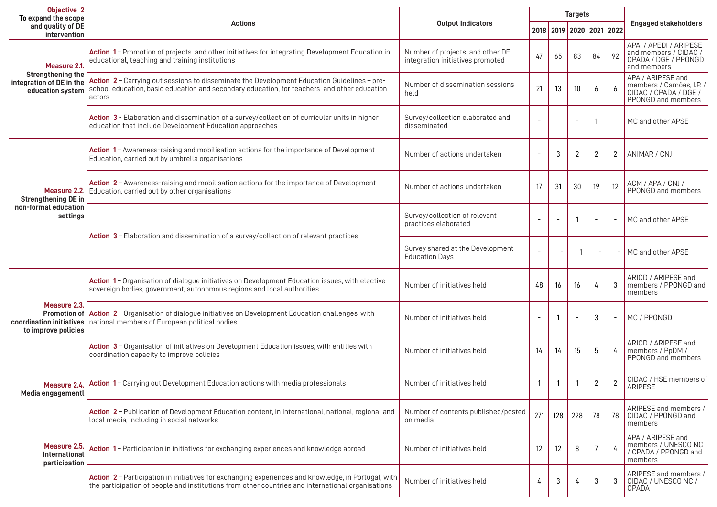| <b>Objective 2</b><br>To expand the scope                                               |                                                                                                                                                                                                          |                                                                     | <b>Targets</b>           |     |                |                   |                          |                                                                                              |  |
|-----------------------------------------------------------------------------------------|----------------------------------------------------------------------------------------------------------------------------------------------------------------------------------------------------------|---------------------------------------------------------------------|--------------------------|-----|----------------|-------------------|--------------------------|----------------------------------------------------------------------------------------------|--|
| and quality of DE<br>intervention                                                       | <b>Actions</b>                                                                                                                                                                                           | <b>Output Indicators</b>                                            |                          |     |                |                   | 2018 2019 2020 2021 2022 | <b>Engaged stakeholders</b>                                                                  |  |
| Measure 2.1<br><b>Strengthening the</b><br>integration of DE in the<br>education system | Action 1-Promotion of projects and other initiatives for integrating Development Education in<br>educational, teaching and training institutions                                                         | Number of projects and other DE<br>integration initiatives promoted | 47                       | 65  | 83             | 84                | 92                       | APA / APEDI / ARIPESE<br>and members / CIDAC /<br>CPADA / DGE / PPONGD<br>and members        |  |
|                                                                                         | Action 2 - Carrying out sessions to disseminate the Development Education Guidelines - pre-<br>school education, basic education and secondary education, for teachers and other education<br>actors     | Number of dissemination sessions<br>held                            | 21                       | 13  | 10             | 6                 | 6                        | APA / ARIPESE and<br>members / Camões, I.P. /<br>CIDAC / CPADA / DGE /<br>PPONGD and members |  |
|                                                                                         | Action 3 - Elaboration and dissemination of a survey/collection of curricular units in higher<br>education that include Development Education approaches                                                 | Survey/collection elaborated and<br>disseminated                    |                          |     |                |                   |                          | MC and other APSE                                                                            |  |
| Measure 2.2.<br><b>Strengthening DE in</b><br>non-formal education<br>settings          | Action 1- Awareness-raising and mobilisation actions for the importance of Development<br>Education, carried out by umbrella organisations                                                               | Number of actions undertaken                                        |                          | 3   | $\overline{2}$ | 2                 | 2                        | ANIMAR / CNJ                                                                                 |  |
|                                                                                         | Action 2 - Awareness-raising and mobilisation actions for the importance of Development<br>Education, carried out by other organisations                                                                 | Number of actions undertaken                                        | 17                       | 31  | 30             | 19                | 12                       | ACM / APA / CNJ /<br>PPONGD and members                                                      |  |
|                                                                                         | Action 3 - Elaboration and dissemination of a survey/collection of relevant practices                                                                                                                    | Survey/collection of relevant<br>practices elaborated               | $\overline{\phantom{a}}$ |     |                | $\qquad \qquad -$ |                          | MC and other APSE                                                                            |  |
|                                                                                         |                                                                                                                                                                                                          | Survey shared at the Development<br><b>Education Days</b>           |                          |     |                |                   |                          | MC and other APSE                                                                            |  |
| Measure 2.3.<br><b>Promotion of</b><br>to improve policies                              | Action 1- Organisation of dialogue initiatives on Development Education issues, with elective<br>sovereign bodies, government, autonomous regions and local authorities                                  | Number of initiatives held                                          | 48                       | 16  | 16             | $\overline{4}$    | 3                        | ARICD / ARIPESE and<br>members / PPONGD and<br>members                                       |  |
|                                                                                         | Action 2-Organisation of dialogue initiatives on Development Education challenges, with<br>coordination initiatives   national members of European political bodies                                      | Number of initiatives held                                          |                          |     |                | -3                |                          | MC / PPONGD                                                                                  |  |
|                                                                                         | Action 3 - Organisation of initiatives on Development Education issues, with entities with<br>coordination capacity to improve policies                                                                  | Number of initiatives held                                          | 14                       | 14  | 15             | 5                 |                          | ARICD / ARIPESE and<br>members / PpDM /<br>PPONGD and members                                |  |
| Media engagementl                                                                       | Measure 2.4. Action 1- Carrying out Development Education actions with media professionals                                                                                                               | Number of initiatives held                                          | $\overline{1}$           |     |                | $\overline{2}$    | $\overline{2}$           | CIDAC / HSE members of<br><b>ARIPESE</b>                                                     |  |
|                                                                                         | Action 2 - Publication of Development Education content, in international, national, regional and<br>local media, including in social networks                                                           | Number of contents published/posted<br>on media                     | 271                      | 128 | 228            | 78                | 78                       | ARIPESE and members /<br>CIDAC / PPONGD and<br>members                                       |  |
| Measure 2.5.<br>International<br>participation                                          | Action 1- Participation in initiatives for exchanging experiences and knowledge abroad                                                                                                                   | Number of initiatives held                                          | 12                       | 12  | 8              |                   |                          | APA / ARIPESE and<br>members / UNESCO NC<br>/ CPADA / PPONGD and<br>members                  |  |
|                                                                                         | Action 2 - Participation in initiatives for exchanging experiences and knowledge, in Portugal, with<br>the participation of people and institutions from other countries and international organisations | Number of initiatives held                                          | 4                        | 3   | 4              | 3                 | 3                        | ARIPESE and members /<br>CIDAC / UNESCO NC /<br><b>CPADA</b>                                 |  |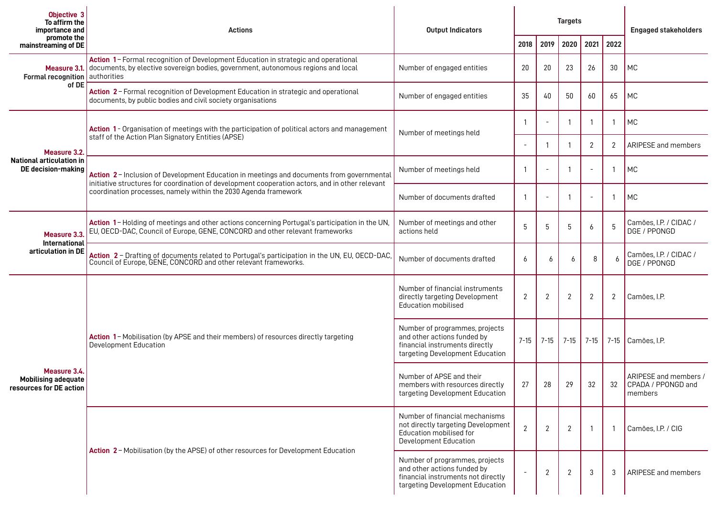| Objective 3<br>To affirm the<br>importance and                        | <b>Actions</b>                                                                                                                                                                                                                                                  | <b>Output Indicators</b>                                                                                                               |                          | <b>Targets</b> |                |                          |      | <b>Engaged stakeholders</b>                                   |
|-----------------------------------------------------------------------|-----------------------------------------------------------------------------------------------------------------------------------------------------------------------------------------------------------------------------------------------------------------|----------------------------------------------------------------------------------------------------------------------------------------|--------------------------|----------------|----------------|--------------------------|------|---------------------------------------------------------------|
| promote the<br>mainstreaming of DE                                    |                                                                                                                                                                                                                                                                 |                                                                                                                                        | 2018                     | 2019           | 2020           | 2021                     | 2022 |                                                               |
| Formal recognition   authorities<br>of DE                             | Action 1- Formal recognition of Development Education in strategic and operational<br>Measure 3.1. documents, by elective sovereign bodies, government, autonomous regions and local                                                                            | Number of engaged entities                                                                                                             | 20                       | 20             | 23             | 26                       | 30   | <b>MC</b>                                                     |
|                                                                       | Action 2 - Formal recognition of Development Education in strategic and operational<br>documents, by public bodies and civil society organisations                                                                                                              | Number of engaged entities                                                                                                             | 35                       | 40             | 50             | 60                       | 65   | MC                                                            |
|                                                                       | Action 1 - Organisation of meetings with the participation of political actors and management<br>staff of the Action Plan Signatory Entities (APSE)                                                                                                             | Number of meetings held                                                                                                                | -1                       |                |                | $\mathbf{1}$             |      | MC                                                            |
| Measure 3.2.                                                          |                                                                                                                                                                                                                                                                 |                                                                                                                                        |                          |                |                | $\overline{2}$           | 2    | ARIPESE and members                                           |
| <b>National articulation in</b><br>DE decision-making                 | Action 2 - Inclusion of Development Education in meetings and documents from governmental<br>initiative structures for coordination of development cooperation actors, and in other relevant<br>coordination processes, namely within the 2030 Agenda framework | Number of meetings held                                                                                                                | -1                       |                |                | $\sim$                   |      | MC                                                            |
|                                                                       |                                                                                                                                                                                                                                                                 | Number of documents drafted                                                                                                            | -1                       |                |                | $\overline{\phantom{a}}$ |      | MC                                                            |
| Measure 3.3.<br>International<br>articulation in DE                   | Action 1-Holding of meetings and other actions concerning Portugal's participation in the UN,<br>EU, OECD-DAC, Council of Europe, GENE, CONCORD and other relevant frameworks                                                                                   | Number of meetings and other<br>actions held                                                                                           | 5                        | 5              | 5              | 6                        | 5    | Camões, I.P. / CIDAC /<br>DGE / PPONGD                        |
|                                                                       | Action 2 - Drafting of documents related to Portugal's participation in the UN, EU, OECD-DAC, Council of Europe, GENE, CONCORD and other relevant frameworks.                                                                                                   | Number of documents drafted                                                                                                            | 6                        | 6              | 6              | 8                        |      | Camões, I.P. / CIDAC /<br>DGE / PPONGD                        |
| Measure 3.4.<br><b>Mobilising adequate</b><br>resources for DE action | Action 1-Mobilisation (by APSE and their members) of resources directly targeting<br>Development Education                                                                                                                                                      | Number of financial instruments<br>directly targeting Development<br>Education mobilised                                               | $\overline{2}$           | 2              | $\overline{2}$ | $\overline{2}$           | 2    | Camões, I.P.                                                  |
|                                                                       |                                                                                                                                                                                                                                                                 | Number of programmes, projects<br>and other actions funded by<br>financial instruments directly<br>targeting Development Education     | $7 - 15$                 | $7 - 15$       | $7-15$         | $7 - 15$                 |      | 7-15 Camões, I.P.                                             |
|                                                                       |                                                                                                                                                                                                                                                                 | Number of APSE and their<br>members with resources directly<br>targeting Development Education                                         | 27                       | 28             | 29             | 32                       | 32   | ARIPESE and members /<br><b>CPADA</b> / PPONGD and<br>members |
|                                                                       | Action 2 - Mobilisation (by the APSE) of other resources for Development Education                                                                                                                                                                              | Number of financial mechanisms<br>not directly targeting Development<br>Education mobilised for<br>Development Education               | $\overline{2}$           | $\mathbf{2}$   | $\overline{2}$ | -1                       |      | Camões, I.P. / CIG                                            |
|                                                                       |                                                                                                                                                                                                                                                                 | Number of programmes, projects<br>and other actions funded by<br>financial instruments not directly<br>targeting Development Education | $\overline{\phantom{a}}$ | $\overline{2}$ | $\overline{2}$ | 3                        | 3    | <b>ARIPESE</b> and members                                    |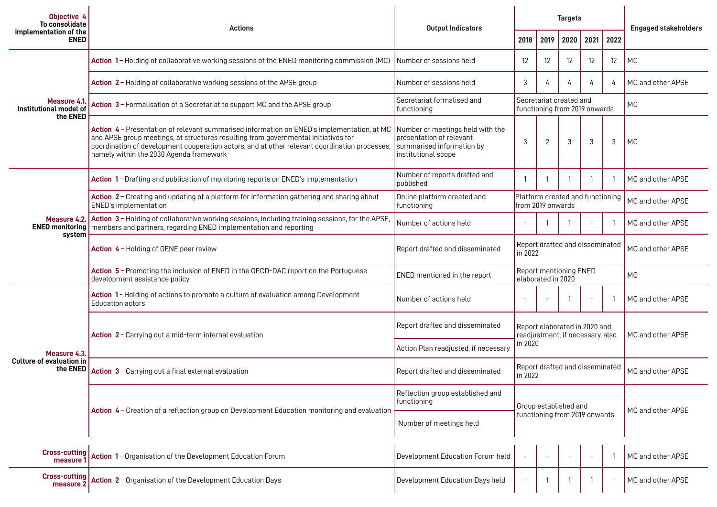| Objective 4<br>To consolidate<br>implementation of the<br><b>ENED</b> | <b>Actions</b>                                                                                                                                                                                                                                                                                                               | <b>Output Indicators</b>                                                                                         |                                                                   |      | <b>Targets</b>    | <b>Engaged stakeholders</b> |                          |                   |
|-----------------------------------------------------------------------|------------------------------------------------------------------------------------------------------------------------------------------------------------------------------------------------------------------------------------------------------------------------------------------------------------------------------|------------------------------------------------------------------------------------------------------------------|-------------------------------------------------------------------|------|-------------------|-----------------------------|--------------------------|-------------------|
|                                                                       |                                                                                                                                                                                                                                                                                                                              |                                                                                                                  | 2018                                                              | 2019 | 2020              | 2021                        | 2022                     |                   |
| Measure 4.1.<br>Institutional model of<br>the ENED                    | Action 1-Holding of collaborative working sessions of the ENED monitoring commission (MC)                                                                                                                                                                                                                                    | Number of sessions held                                                                                          | $12 \overline{ }$                                                 | 12   | $12 \overline{ }$ | $12 \overline{ }$           | 12                       | MC                |
|                                                                       | Action 2 - Holding of collaborative working sessions of the APSE group                                                                                                                                                                                                                                                       | Number of sessions held                                                                                          | 3                                                                 | 4    |                   | 4                           | 4                        | MC and other APSE |
|                                                                       | Action 3 - Formalisation of a Secretariat to support MC and the APSE group                                                                                                                                                                                                                                                   | Secretariat formalised and<br>functioning                                                                        | Secretariat created and<br>functioning from 2019 onwards          |      |                   |                             | <b>MC</b>                |                   |
|                                                                       | Action 4 - Presentation of relevant summarised information on ENED's implementation, at MC<br>and APSE group meetings, at structures resulting from governmental initiatives for<br>coordination of development cooperation actors, and at other relevant coordination processes,<br>namely within the 2030 Agenda framework | Number of meetings held with the<br>presentation of relevant<br>summarised information by<br>institutional scope | 3                                                                 | 2    | 3                 | 3                           | 3                        | MC                |
| system                                                                | Action 1- Drafting and publication of monitoring reports on ENED's implementation                                                                                                                                                                                                                                            | Number of reports drafted and<br>published                                                                       | $\mathbf{1}$                                                      |      |                   |                             | -1                       | MC and other APSE |
|                                                                       | Action 2 - Creating and updating of a platform for information gathering and sharing about<br>ENED's implementation                                                                                                                                                                                                          | Online platform created and<br>functioning                                                                       | Platform created and functioning<br>from 2019 onwards             |      |                   |                             |                          | MC and other APSE |
|                                                                       | Measure 4.2. Action 3 - Holding of collaborative working sessions, including training sessions, for the APSE,<br><b>ENED monitoring</b> members and partners, regarding ENED implementation and reporting                                                                                                                    | Number of actions held                                                                                           | $\overline{\phantom{a}}$                                          |      |                   |                             |                          | MC and other APSE |
|                                                                       | Action 4 - Holding of GENE peer review                                                                                                                                                                                                                                                                                       | Report drafted and disseminated                                                                                  | Report drafted and disseminated<br>in 2022                        |      |                   |                             | MC and other APSE        |                   |
|                                                                       | Action 5 - Promoting the inclusion of ENED in the OECD-DAC report on the Portuguese<br>development assistance policy                                                                                                                                                                                                         | <b>ENED</b> mentioned in the report                                                                              | <b>Report mentioning ENED</b><br>elaborated in 2020               |      |                   |                             | <b>MC</b>                |                   |
| Measure 4.3.<br>Culture of evaluation in<br>the ENED                  | Action 1 - Holding of actions to promote a culture of evaluation among Development<br>Education actors                                                                                                                                                                                                                       | Number of actions held                                                                                           |                                                                   |      |                   | $\blacksquare$              |                          | MC and other APSE |
|                                                                       | Action 2 - Carrying out a mid-term internal evaluation                                                                                                                                                                                                                                                                       | Report drafted and disseminated                                                                                  | Report elaborated in 2020 and<br>readjustment, if necessary, also |      |                   |                             |                          | MC and other APSE |
|                                                                       |                                                                                                                                                                                                                                                                                                                              | Action Plan readjusted, if necessary                                                                             | in 2020                                                           |      |                   |                             |                          |                   |
|                                                                       | Action 3 - Carrying out a final external evaluation                                                                                                                                                                                                                                                                          | Report drafted and disseminated                                                                                  | Report drafted and disseminated<br>in 2022                        |      |                   |                             |                          | MC and other APSE |
|                                                                       | Action 4 - Creation of a reflection group on Development Education monitoring and evaluation                                                                                                                                                                                                                                 | Reflection group established and<br>functioning                                                                  | Group established and<br>functioning from 2019 onwards            |      |                   |                             |                          | MC and other APSE |
|                                                                       |                                                                                                                                                                                                                                                                                                                              | Number of meetings held                                                                                          |                                                                   |      |                   |                             |                          |                   |
| <b>Cross-cutting</b><br>measure 1                                     | Action 1- Organisation of the Development Education Forum                                                                                                                                                                                                                                                                    | Development Education Forum held                                                                                 |                                                                   |      |                   | $\sim$                      | -1                       | MC and other APSE |
| <b>Cross-cutting</b><br>measure 2                                     | Action 2 - Organisation of the Development Education Days                                                                                                                                                                                                                                                                    | Development Education Days held                                                                                  |                                                                   |      |                   |                             | $\overline{\phantom{a}}$ | MC and other APSE |